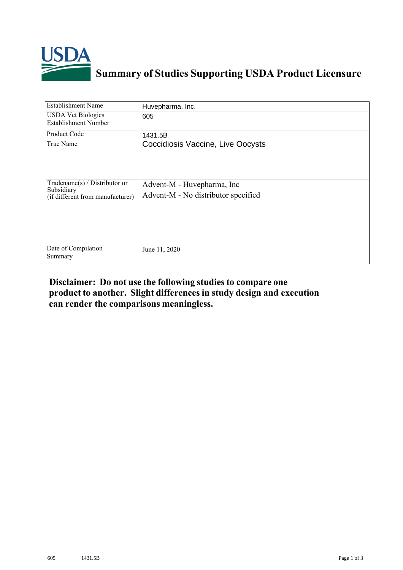

## **Summary of Studies Supporting USDA Product Licensure**

| <b>Establishment Name</b>                                                          | Huvepharma, Inc.                                                   |
|------------------------------------------------------------------------------------|--------------------------------------------------------------------|
| <b>USDA Vet Biologics</b><br><b>Establishment Number</b>                           | 605                                                                |
| <b>Product Code</b>                                                                | 1431.5B                                                            |
| True Name                                                                          | Coccidiosis Vaccine, Live Oocysts                                  |
| Tradename $(s)$ / Distributor or<br>Subsidiary<br>(if different from manufacturer) | Advent-M - Huvepharma, Inc.<br>Advent-M - No distributor specified |
| Date of Compilation<br>Summary                                                     | June 11, 2020                                                      |

## **Disclaimer: Do not use the following studiesto compare one product to another. Slight differencesin study design and execution can render the comparisons meaningless.**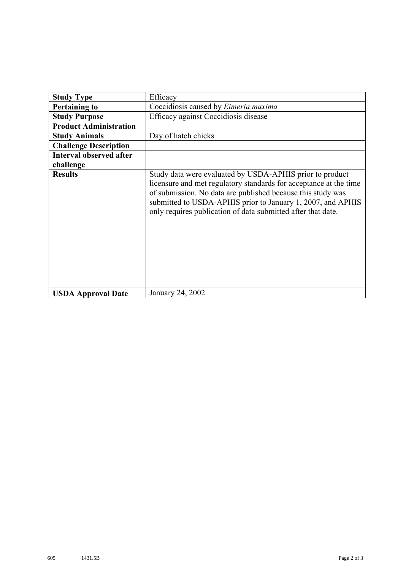| <b>Study Type</b>              | Efficacy                                                                                                                                                                                                                                                                                                                    |
|--------------------------------|-----------------------------------------------------------------------------------------------------------------------------------------------------------------------------------------------------------------------------------------------------------------------------------------------------------------------------|
| <b>Pertaining to</b>           | Coccidiosis caused by Eimeria maxima                                                                                                                                                                                                                                                                                        |
| <b>Study Purpose</b>           | Efficacy against Coccidiosis disease                                                                                                                                                                                                                                                                                        |
| <b>Product Administration</b>  |                                                                                                                                                                                                                                                                                                                             |
| <b>Study Animals</b>           | Day of hatch chicks                                                                                                                                                                                                                                                                                                         |
| <b>Challenge Description</b>   |                                                                                                                                                                                                                                                                                                                             |
| <b>Interval observed after</b> |                                                                                                                                                                                                                                                                                                                             |
| challenge                      |                                                                                                                                                                                                                                                                                                                             |
| <b>Results</b>                 | Study data were evaluated by USDA-APHIS prior to product<br>licensure and met regulatory standards for acceptance at the time<br>of submission. No data are published because this study was<br>submitted to USDA-APHIS prior to January 1, 2007, and APHIS<br>only requires publication of data submitted after that date. |
| <b>USDA Approval Date</b>      | January 24, 2002                                                                                                                                                                                                                                                                                                            |